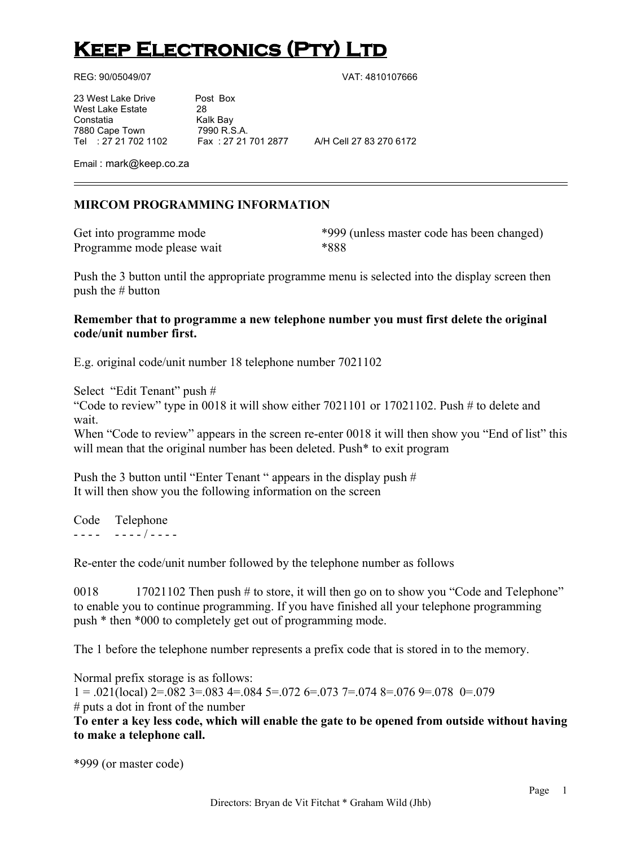# **KEEP ELECTRONICS (PTY) LTD**

REG: 90/05049/07 VAT: 4810107666

23 West Lake Drive Post Box West Lake Estate 28 Constatia Kalk Bay

7880 Cape Town 7990 R.S.A.<br>Tel : 27 21 702 1102 Fax : 27 21 701 2877

Tel : 27 21 702 1102 Fax : 27 21 701 2877 A/H Cell 27 83 270 6172

Email : mark@keep.co.za

# **MIRCOM PROGRAMMING INFORMATION**

Programme mode please wait \*888

Get into programme mode  $*999$  (unless master code has been changed)

Push the 3 button until the appropriate programme menu is selected into the display screen then push the # button

## **Remember that to programme a new telephone number you must first delete the original code/unit number first.**

E.g. original code/unit number 18 telephone number 7021102

Select "Edit Tenant" push # "Code to review" type in 0018 it will show either  $7021101$  or  $17021102$ . Push # to delete and wait. When "Code to review" appears in the screen re-enter 0018 it will then show you "End of list" this will mean that the original number has been deleted. Push<sup>\*</sup> to exit program

Push the 3 button until "Enter Tenant " appears in the display push # It will then show you the following information on the screen

Code Telephone - - - - - - - - / - - - -

Re-enter the code/unit number followed by the telephone number as follows

0018 17021102 Then push # to store, it will then go on to show you "Code and Telephone" to enable you to continue programming. If you have finished all your telephone programming push \* then \*000 to completely get out of programming mode.

The 1 before the telephone number represents a prefix code that is stored in to the memory.

Normal prefix storage is as follows:

 $1 = .021$ (local)  $2 = .082$   $3 = .083$   $4 = .084$   $5 = .072$   $6 = .073$   $7 = .074$   $8 = .076$   $9 = .078$   $0 = .079$ # puts a dot in front of the number

**To enter a key less code, which will enable the gate to be opened from outside without having to make a telephone call.**

```
*999 (or master code)
```